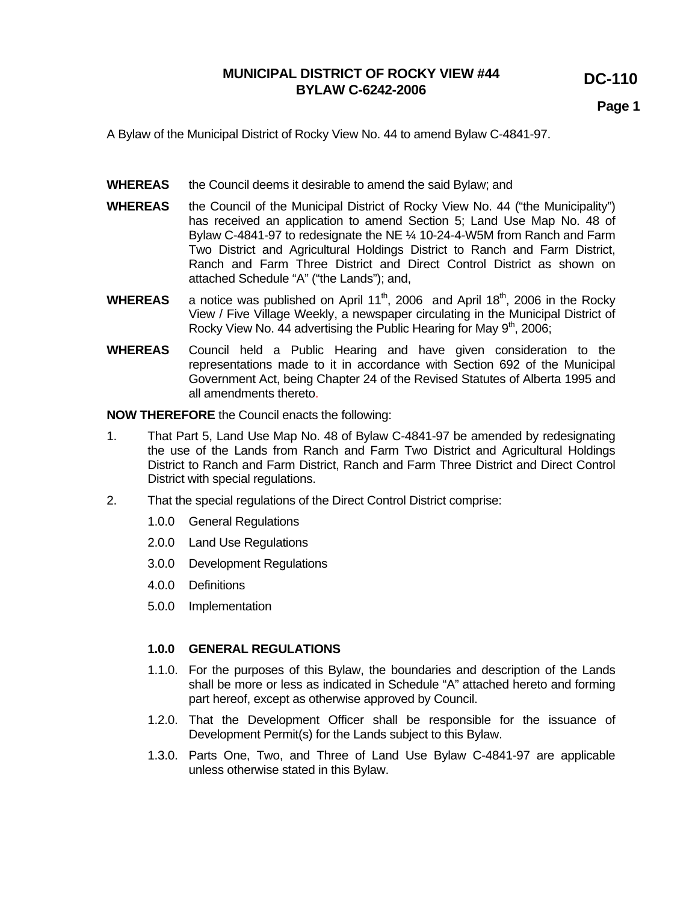**DC-110** 

**Page 1** 

A Bylaw of the Municipal District of Rocky View No. 44 to amend Bylaw C-4841-97.

- **WHEREAS** the Council deems it desirable to amend the said Bylaw; and
- **WHEREAS** the Council of the Municipal District of Rocky View No. 44 ("the Municipality") has received an application to amend Section 5; Land Use Map No. 48 of Bylaw C-4841-97 to redesignate the NE ¼ 10-24-4-W5M from Ranch and Farm Two District and Agricultural Holdings District to Ranch and Farm District, Ranch and Farm Three District and Direct Control District as shown on attached Schedule "A" ("the Lands"); and,
- **WHEREAS** a notice was published on April 11<sup>th</sup>, 2006 and April 18<sup>th</sup>, 2006 in the Rocky View / Five Village Weekly, a newspaper circulating in the Municipal District of Rocky View No. 44 advertising the Public Hearing for May  $9<sup>th</sup>$ , 2006;
- **WHEREAS** Council held a Public Hearing and have given consideration to the representations made to it in accordance with Section 692 of the Municipal Government Act, being Chapter 24 of the Revised Statutes of Alberta 1995 and all amendments thereto.

**NOW THEREFORE** the Council enacts the following:

- 1. That Part 5, Land Use Map No. 48 of Bylaw C-4841-97 be amended by redesignating the use of the Lands from Ranch and Farm Two District and Agricultural Holdings District to Ranch and Farm District, Ranch and Farm Three District and Direct Control District with special regulations.
- 2. That the special regulations of the Direct Control District comprise:
	- 1.0.0 General Regulations
	- 2.0.0 Land Use Regulations
	- 3.0.0 Development Regulations
	- 4.0.0 Definitions
	- 5.0.0 Implementation

#### **1.0.0 GENERAL REGULATIONS**

- 1.1.0. For the purposes of this Bylaw, the boundaries and description of the Lands shall be more or less as indicated in Schedule "A" attached hereto and forming part hereof, except as otherwise approved by Council.
- 1.2.0. That the Development Officer shall be responsible for the issuance of Development Permit(s) for the Lands subject to this Bylaw.
- 1.3.0. Parts One, Two, and Three of Land Use Bylaw C-4841-97 are applicable unless otherwise stated in this Bylaw.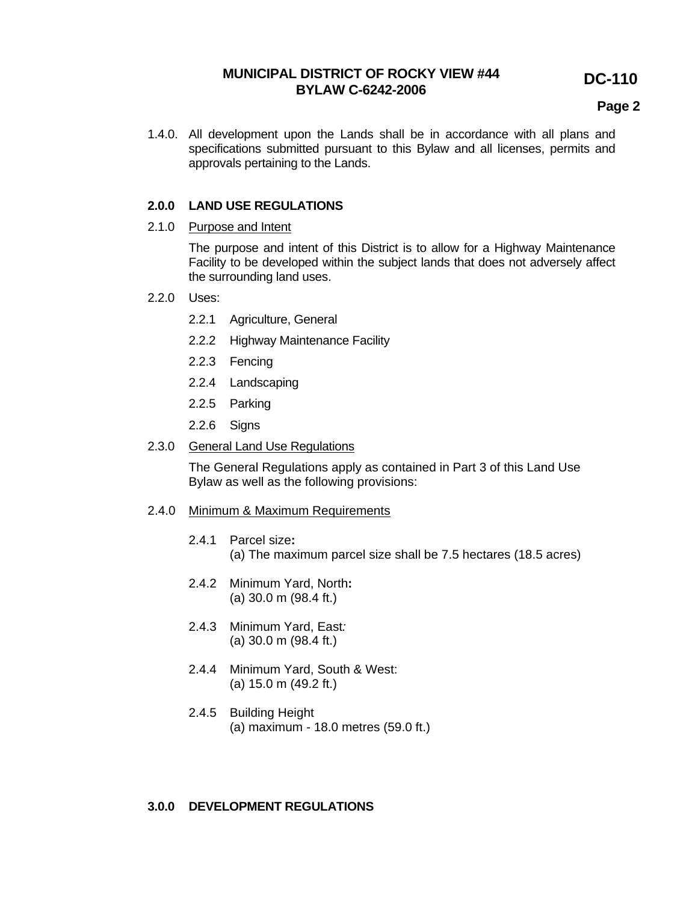# **DC-110**

## **Page 2**

1.4.0. All development upon the Lands shall be in accordance with all plans and specifications submitted pursuant to this Bylaw and all licenses, permits and approvals pertaining to the Lands.

### **2.0.0 LAND USE REGULATIONS**

#### 2.1.0 Purpose and Intent

The purpose and intent of this District is to allow for a Highway Maintenance Facility to be developed within the subject lands that does not adversely affect the surrounding land uses.

- 2.2.0 Uses:
	- 2.2.1 Agriculture, General
	- 2.2.2 Highway Maintenance Facility
	- 2.2.3 Fencing
	- 2.2.4 Landscaping
	- 2.2.5 Parking
	- 2.2.6 Signs

#### 2.3.0 General Land Use Regulations

The General Regulations apply as contained in Part 3 of this Land Use Bylaw as well as the following provisions:

#### 2.4.0 Minimum & Maximum Requirements

- 2.4.1 Parcel size**:**  (a) The maximum parcel size shall be 7.5 hectares (18.5 acres)
- 2.4.2 Minimum Yard, North**:**  (a) 30.0 m (98.4 ft.)
- 2.4.3 Minimum Yard, East*:*  (a) 30.0 m (98.4 ft.)
- 2.4.4 Minimum Yard, South & West: (a) 15.0 m (49.2 ft.)
- 2.4.5 Building Height (a) maximum - 18.0 metres (59.0 ft.)

### **3.0.0 DEVELOPMENT REGULATIONS**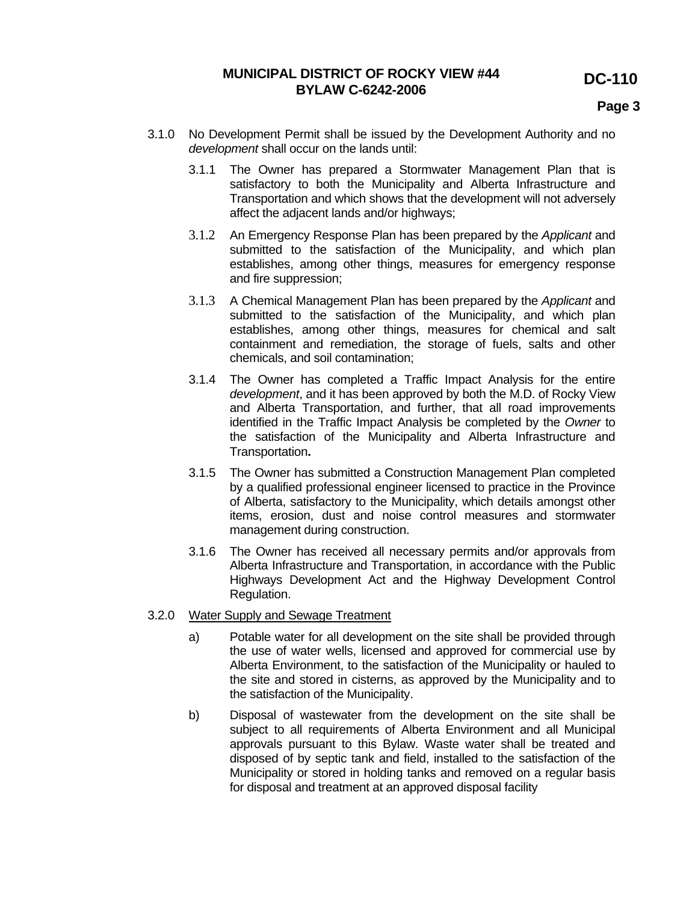**DC-110** 

# **MUNICIPAL DISTRICT OF ROCKY VIEW #44 BYLAW C-6242-2006**

**Page 3 Page 3** 

- 3.1.0 No Development Permit shall be issued by the Development Authority and no *development* shall occur on the lands until:
	- 3.1.1 The Owner has prepared a Stormwater Management Plan that is satisfactory to both the Municipality and Alberta Infrastructure and Transportation and which shows that the development will not adversely affect the adjacent lands and/or highways;
	- 3.1.2 An Emergency Response Plan has been prepared by the *Applicant* and submitted to the satisfaction of the Municipality, and which plan establishes, among other things, measures for emergency response and fire suppression;
	- 3.1.3 A Chemical Management Plan has been prepared by the *Applicant* and submitted to the satisfaction of the Municipality, and which plan establishes, among other things, measures for chemical and salt containment and remediation, the storage of fuels, salts and other chemicals, and soil contamination;
	- 3.1.4 The Owner has completed a Traffic Impact Analysis for the entire *development*, and it has been approved by both the M.D. of Rocky View and Alberta Transportation, and further, that all road improvements identified in the Traffic Impact Analysis be completed by the *Owner* to the satisfaction of the Municipality and Alberta Infrastructure and Transportation**.**
	- 3.1.5 The Owner has submitted a Construction Management Plan completed by a qualified professional engineer licensed to practice in the Province of Alberta, satisfactory to the Municipality, which details amongst other items, erosion, dust and noise control measures and stormwater management during construction.
	- 3.1.6 The Owner has received all necessary permits and/or approvals from Alberta Infrastructure and Transportation, in accordance with the Public Highways Development Act and the Highway Development Control Regulation.

## 3.2.0 Water Supply and Sewage Treatment

- a) Potable water for all development on the site shall be provided through the use of water wells, licensed and approved for commercial use by Alberta Environment, to the satisfaction of the Municipality or hauled to the site and stored in cisterns, as approved by the Municipality and to the satisfaction of the Municipality.
- b) Disposal of wastewater from the development on the site shall be subject to all requirements of Alberta Environment and all Municipal approvals pursuant to this Bylaw. Waste water shall be treated and disposed of by septic tank and field, installed to the satisfaction of the Municipality or stored in holding tanks and removed on a regular basis for disposal and treatment at an approved disposal facility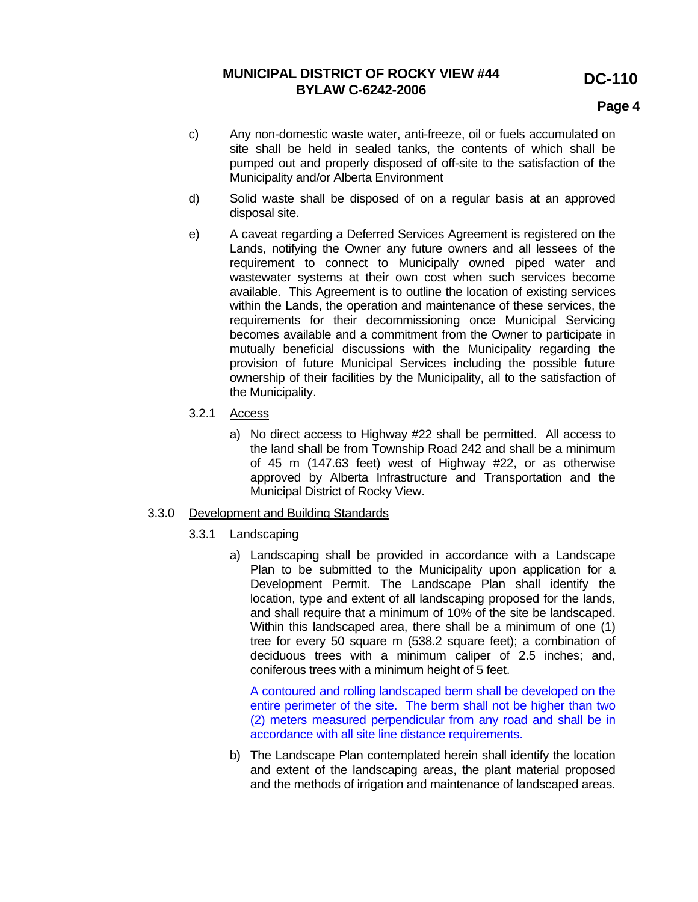# **DC-110**

## **Page 4**

- c) Any non-domestic waste water, anti-freeze, oil or fuels accumulated on site shall be held in sealed tanks, the contents of which shall be pumped out and properly disposed of off-site to the satisfaction of the Municipality and/or Alberta Environment
- d) Solid waste shall be disposed of on a regular basis at an approved disposal site.
- e) A caveat regarding a Deferred Services Agreement is registered on the Lands, notifying the Owner any future owners and all lessees of the requirement to connect to Municipally owned piped water and wastewater systems at their own cost when such services become available. This Agreement is to outline the location of existing services within the Lands, the operation and maintenance of these services, the requirements for their decommissioning once Municipal Servicing becomes available and a commitment from the Owner to participate in mutually beneficial discussions with the Municipality regarding the provision of future Municipal Services including the possible future ownership of their facilities by the Municipality, all to the satisfaction of the Municipality.
- 3.2.1 Access
	- a) No direct access to Highway #22 shall be permitted. All access to the land shall be from Township Road 242 and shall be a minimum of 45 m (147.63 feet) west of Highway #22, or as otherwise approved by Alberta Infrastructure and Transportation and the Municipal District of Rocky View.

### 3.3.0 Development and Building Standards

- 3.3.1 Landscaping
	- a) Landscaping shall be provided in accordance with a Landscape Plan to be submitted to the Municipality upon application for a Development Permit. The Landscape Plan shall identify the location, type and extent of all landscaping proposed for the lands, and shall require that a minimum of 10% of the site be landscaped. Within this landscaped area, there shall be a minimum of one (1) tree for every 50 square m (538.2 square feet); a combination of deciduous trees with a minimum caliper of 2.5 inches; and, coniferous trees with a minimum height of 5 feet.

A contoured and rolling landscaped berm shall be developed on the entire perimeter of the site. The berm shall not be higher than two (2) meters measured perpendicular from any road and shall be in accordance with all site line distance requirements.

b) The Landscape Plan contemplated herein shall identify the location and extent of the landscaping areas, the plant material proposed and the methods of irrigation and maintenance of landscaped areas.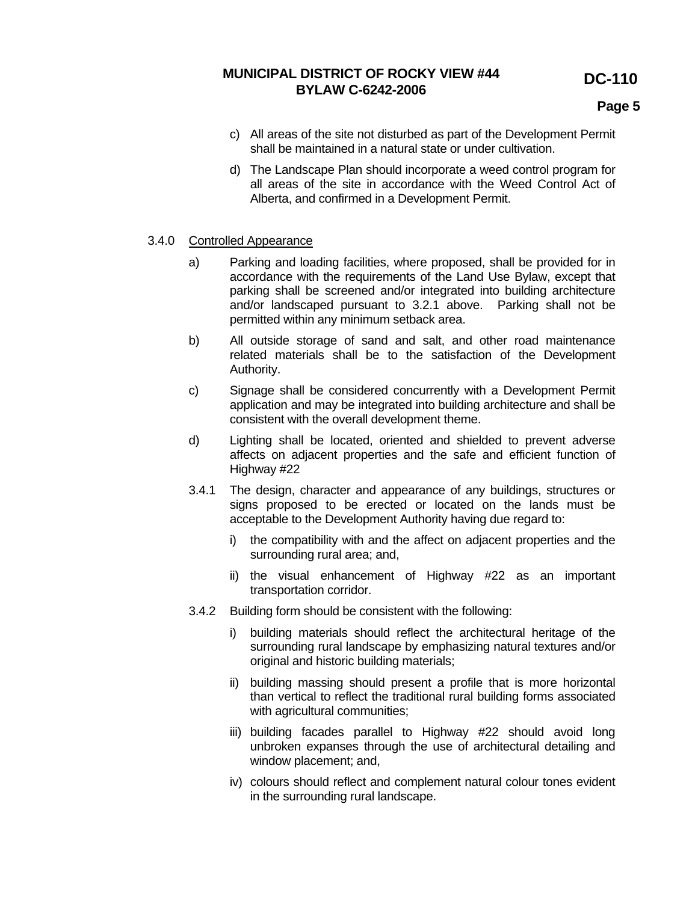**DC-110** 

# **MUNICIPAL DISTRICT OF ROCKY VIEW #44 BYLAW C-6242-2006**

**Page 5 Page 5** 

- c) All areas of the site not disturbed as part of the Development Permit shall be maintained in a natural state or under cultivation.
- d) The Landscape Plan should incorporate a weed control program for all areas of the site in accordance with the Weed Control Act of Alberta, and confirmed in a Development Permit.

## 3.4.0 Controlled Appearance

- a) Parking and loading facilities, where proposed, shall be provided for in accordance with the requirements of the Land Use Bylaw, except that parking shall be screened and/or integrated into building architecture and/or landscaped pursuant to 3.2.1 above. Parking shall not be permitted within any minimum setback area.
- b) All outside storage of sand and salt, and other road maintenance related materials shall be to the satisfaction of the Development Authority.
- c) Signage shall be considered concurrently with a Development Permit application and may be integrated into building architecture and shall be consistent with the overall development theme.
- d) Lighting shall be located, oriented and shielded to prevent adverse affects on adjacent properties and the safe and efficient function of Highway #22
- 3.4.1 The design, character and appearance of any buildings, structures or signs proposed to be erected or located on the lands must be acceptable to the Development Authority having due regard to:
	- i) the compatibility with and the affect on adjacent properties and the surrounding rural area; and,
	- ii) the visual enhancement of Highway #22 as an important transportation corridor.
- 3.4.2 Building form should be consistent with the following:
	- i) building materials should reflect the architectural heritage of the surrounding rural landscape by emphasizing natural textures and/or original and historic building materials;
	- ii) building massing should present a profile that is more horizontal than vertical to reflect the traditional rural building forms associated with agricultural communities;
	- iii) building facades parallel to Highway #22 should avoid long unbroken expanses through the use of architectural detailing and window placement; and,
	- iv) colours should reflect and complement natural colour tones evident in the surrounding rural landscape.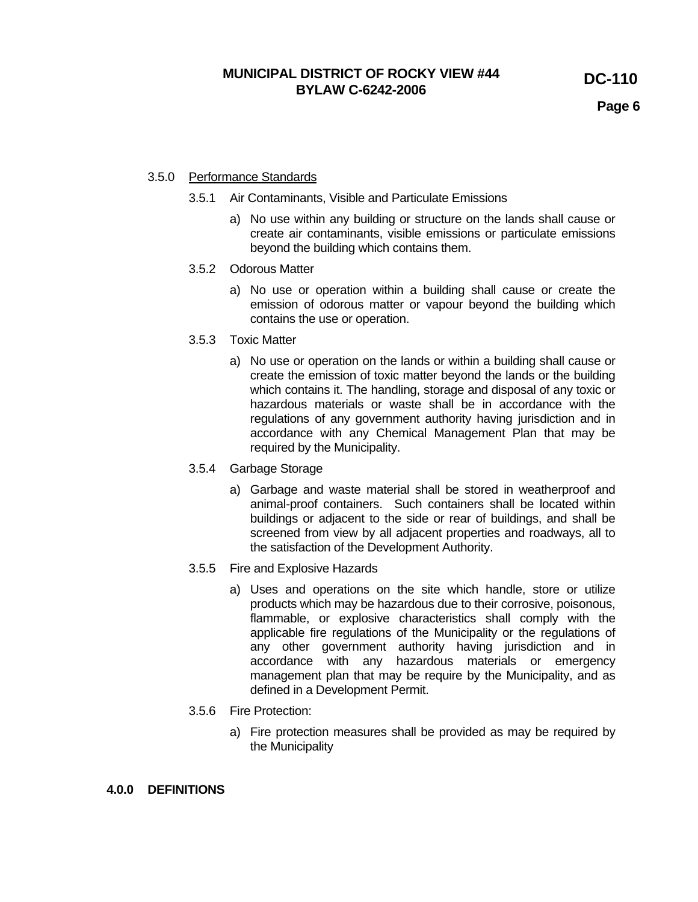**Page 6 Page 6** 

## 3.5.0 Performance Standards

- 3.5.1 Air Contaminants, Visible and Particulate Emissions
	- a) No use within any building or structure on the lands shall cause or create air contaminants, visible emissions or particulate emissions beyond the building which contains them.
- 3.5.2 Odorous Matter
	- a) No use or operation within a building shall cause or create the emission of odorous matter or vapour beyond the building which contains the use or operation.
- 3.5.3 Toxic Matter
	- a) No use or operation on the lands or within a building shall cause or create the emission of toxic matter beyond the lands or the building which contains it. The handling, storage and disposal of any toxic or hazardous materials or waste shall be in accordance with the regulations of any government authority having jurisdiction and in accordance with any Chemical Management Plan that may be required by the Municipality.
- 3.5.4 Garbage Storage
	- a) Garbage and waste material shall be stored in weatherproof and animal-proof containers. Such containers shall be located within buildings or adjacent to the side or rear of buildings, and shall be screened from view by all adjacent properties and roadways, all to the satisfaction of the Development Authority.
- 3.5.5 Fire and Explosive Hazards
	- a) Uses and operations on the site which handle, store or utilize products which may be hazardous due to their corrosive, poisonous, flammable, or explosive characteristics shall comply with the applicable fire regulations of the Municipality or the regulations of any other government authority having jurisdiction and in accordance with any hazardous materials or emergency management plan that may be require by the Municipality, and as defined in a Development Permit.
- 3.5.6 Fire Protection:
	- a) Fire protection measures shall be provided as may be required by the Municipality

### **4.0.0 DEFINITIONS**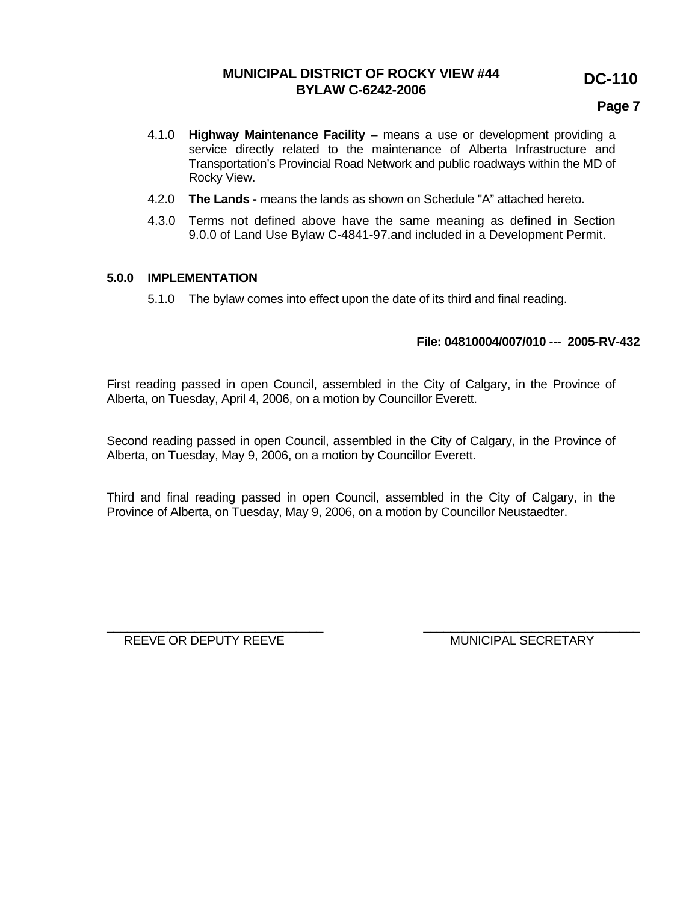# **DC-110**

## **Page 7**

- 4.1.0 **Highway Maintenance Facility** means a use or development providing a service directly related to the maintenance of Alberta Infrastructure and Transportation's Provincial Road Network and public roadways within the MD of Rocky View.
- 4.2.0 **The Lands** means the lands as shown on Schedule "A" attached hereto.
- 4.3.0 Terms not defined above have the same meaning as defined in Section 9.0.0 of Land Use Bylaw C-4841-97.and included in a Development Permit.

## **5.0.0 IMPLEMENTATION**

5.1.0 The bylaw comes into effect upon the date of its third and final reading.

## **File: 04810004/007/010 --- 2005-RV-432**

First reading passed in open Council, assembled in the City of Calgary, in the Province of Alberta, on Tuesday, April 4, 2006, on a motion by Councillor Everett.

Second reading passed in open Council, assembled in the City of Calgary, in the Province of Alberta, on Tuesday, May 9, 2006, on a motion by Councillor Everett.

Third and final reading passed in open Council, assembled in the City of Calgary, in the Province of Alberta, on Tuesday, May 9, 2006, on a motion by Councillor Neustaedter.

\_\_\_\_\_\_\_\_\_\_\_\_\_\_\_\_\_\_\_\_\_\_\_\_\_\_\_\_\_\_\_\_ \_\_\_\_\_\_\_\_\_\_\_\_\_\_\_\_\_\_\_\_\_\_\_\_\_\_\_\_\_\_\_\_

REEVE OR DEPUTY REEVE **A CONSIDER A CONSIDER MUNICIPAL SECRETARY**